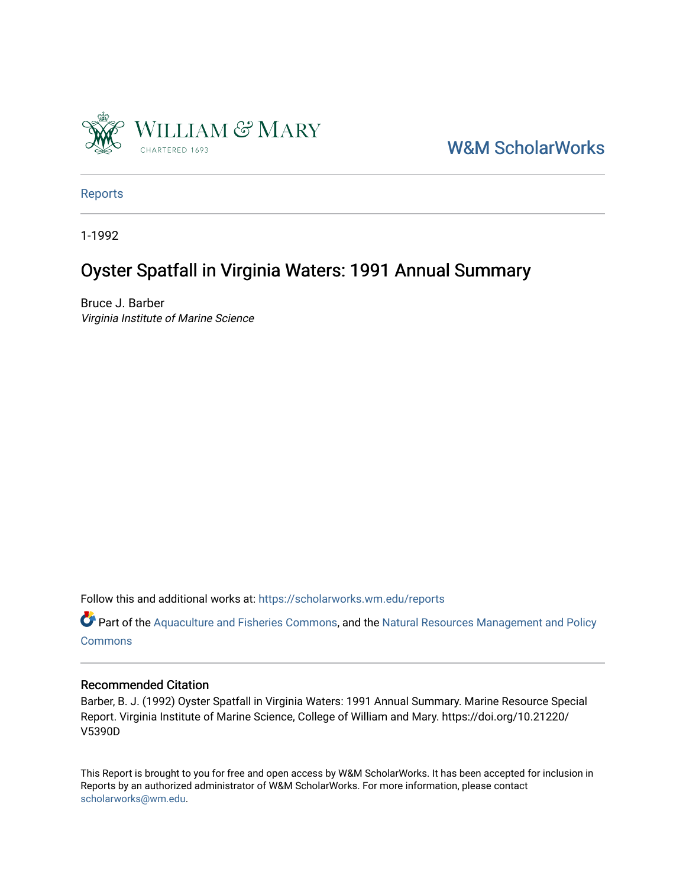

[W&M ScholarWorks](https://scholarworks.wm.edu/) 

[Reports](https://scholarworks.wm.edu/reports)

1-1992

# Oyster Spatfall in Virginia Waters: 1991 Annual Summary

Bruce J. Barber Virginia Institute of Marine Science

Follow this and additional works at: [https://scholarworks.wm.edu/reports](https://scholarworks.wm.edu/reports?utm_source=scholarworks.wm.edu%2Freports%2F400&utm_medium=PDF&utm_campaign=PDFCoverPages)

Part of the [Aquaculture and Fisheries Commons](http://network.bepress.com/hgg/discipline/78?utm_source=scholarworks.wm.edu%2Freports%2F400&utm_medium=PDF&utm_campaign=PDFCoverPages), and the Natural Resources Management and Policy **[Commons](http://network.bepress.com/hgg/discipline/170?utm_source=scholarworks.wm.edu%2Freports%2F400&utm_medium=PDF&utm_campaign=PDFCoverPages)** 

#### Recommended Citation

Barber, B. J. (1992) Oyster Spatfall in Virginia Waters: 1991 Annual Summary. Marine Resource Special Report. Virginia Institute of Marine Science, College of William and Mary. https://doi.org/10.21220/ V5390D

This Report is brought to you for free and open access by W&M ScholarWorks. It has been accepted for inclusion in Reports by an authorized administrator of W&M ScholarWorks. For more information, please contact [scholarworks@wm.edu.](mailto:scholarworks@wm.edu)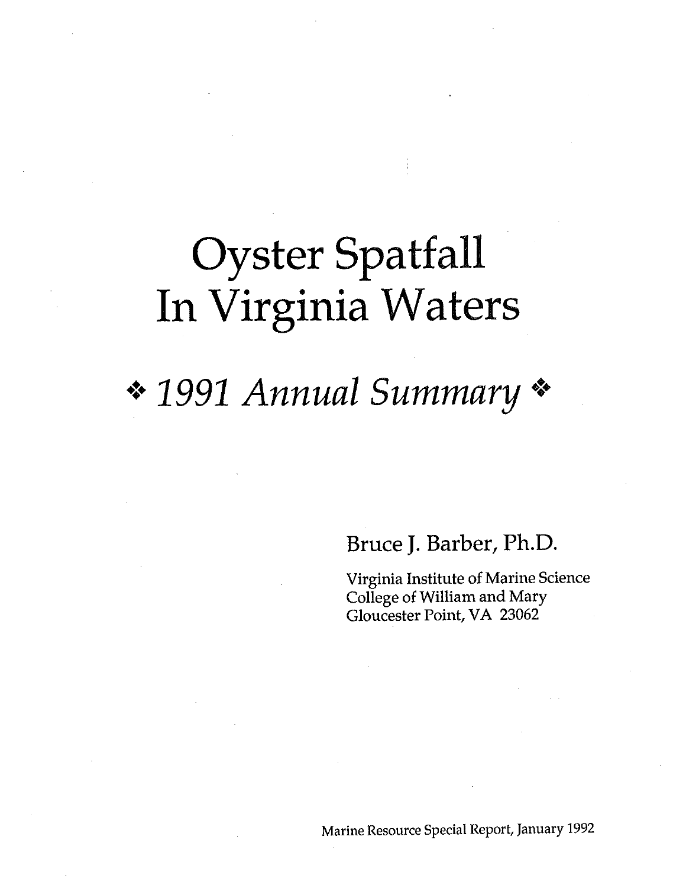# Oyster Spatfall In Virginia Waters

# • 1991 Annual Summary

Bruce J. Barber, Ph.D.

Virginia Institute of Marine Science College of William and Mary Gloucester Point, VA 23062

Marine Resource Special Report, January 1992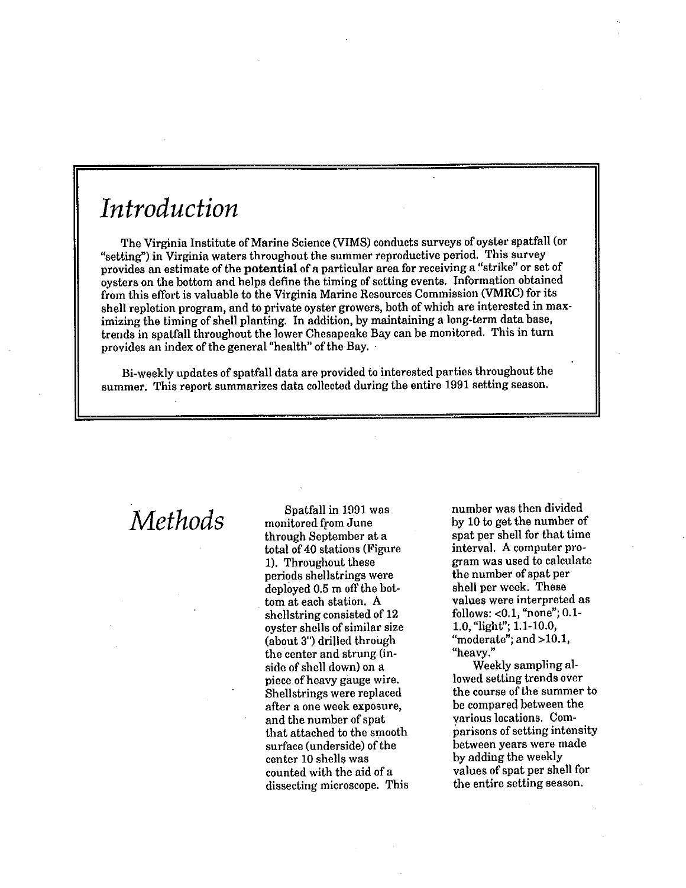# *Introduction*

The Virginia Institute of Marine Science (VIMS) conducts surveys of oyster spatfall (or "setting") in Virginia waters throughout the summer reproductive period. This survey provides an estimate of the **potential** of a particular area for receiving a "strike" or set of oysters on the bottom and helps define the timing of setting events. Information obtained from this effort is valuable to the Virginia Marine Resources Commission (VMRC) for its shell repletion program, and to private oyster growers, both of which are interested in maximizing the timing of shell planting. In addition, by maintaining a long-term data base, trends in spatfall throughout the lower Chesapeake Bay can be monitored. This in turn provides an index of the general "health" of the Bay. ·

Bi-weekly updates of spatfall data are provided to interested parties throughout the summer. This report summarizes data collected during the entire 1991 setting season.

*Methods* Spatfall in 1991 was monitored from June through September at a total of 40 stations (Figure 1). Throughout these periods shellstrings were deployed 0.5 m off the bot tom at each station. A shellstring consisted of 12 oyster shells of similar size (about 3") drilled through the center and strung (inside of shell down) on a piece of heavy gauge wire. Shellstrings were replaced after a one week exposure, and the number of spat that attached to the smooth surface (underside) of the center 10 shells was counted with the aid of a dissecting microscope. This number was then divided by 10 to get the number of spat per shell for that time interval. A computer program was used to calculate the number of spat per shell per week. These values were interpreted as follows: <0.1, "none"; 0.1- 1.0, "light''; 1.1-10.0, "moderate"; and >10.1, "heavy."

Weekly sampling allowed setting trends over the course of the summer to be compared between the various locations. Comparisons of setting intensity between years were made by adding the weekly values of spat per shell for the entire setting season.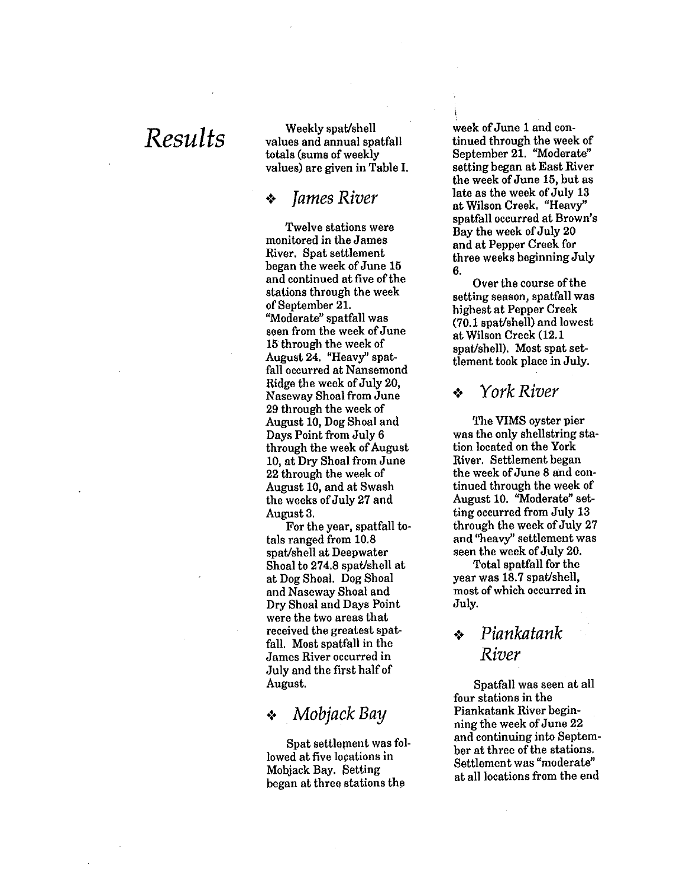*Results* Weekly spat/shell values and annual spatfall totals (sums of weekly values) are given in Table I.

### •!• *James River*

Twelve stations were monitored in the James River. Spat settlement began the week of June 15 and continued at five of the stations through the week of September 21. "Moderate" spatfall was seen from the week of June 15 through the week of August 24. "Heavy'' spatfall occurred at Nansemond Ridge the week of July 20, Naseway Shoal from June 29 through the week of August 10, Dog Shoal and Days Point from July 6 through the week of August 10, at Dry Shoal from June 22 through the week of August 10, and at Swash the weeks of July 27 and August 3.

For the year, spatfall totals ranged from 10.8 spat/shell at Deepwater Shoal to 274.8 spat/shell at at Dog Shoal. Dog Shoal and Naseway Shoal and Dry Shoal and Days Point were the two areas that received the greatest spatfall. Most spatfall in the James River occurred in July and the first half of August.

### •!• . *Mobjack Bay*

Spat settlement was followed at five locations in Mobjack Bay. Setting began at three stations the

week of June 1 and continued through the week of September 21. "Moderate" setting began at East River the week of June 15, but as late as the week of July 13 at Wilson Creek. "Heavy" spatfall occurred at Brown's Bay the week of July 20 and at Pepper Creek for three weeks beginning July 6.

Over the course of the setting season, spatfall was highest at Pepper Creek (70. l spat/shell) and lowest at Wilson Creek (12.1 spat/shell). Most spat settlement took place in July.

#### •!• *York River*

The VIMS oyster pier was the only shellstring station located on the York River. Settlement began the week of June 8 and continued through the week of August 10. "Moderate" setting occurred from July 13 through the week of July 27 and "heavy'' settlement was seen the week of July 20.

Total spatfall for the year was 18.7 spat/shell, most of which occurred in July.

# •!• *Piankatank River*

Spatfall was seen at all four stations in the Piankatank River beginning the week of June 22 and continuing into September at three of the stations. Settlement was "moderate" at all locations from the end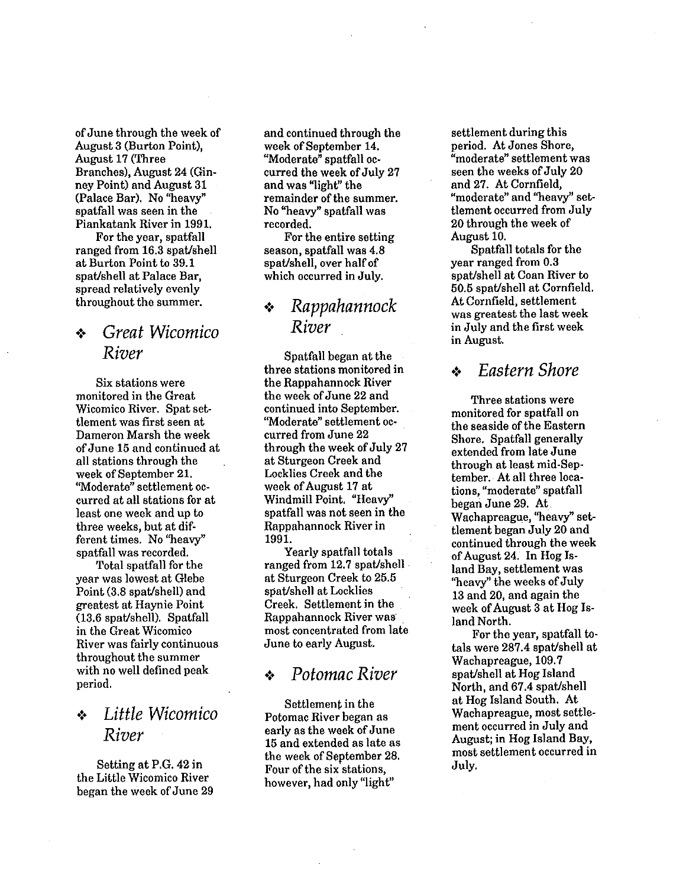of June through the week of August 3 (Burton Point), August 17 (Three Branches), August 24 (Ginney Point) and August 31 (Palace Bar). No "heavy" spatfall was seen in the Piankatank River in 1991.

For the year, spatfall ranged from 16.3 spat/shell at Burton Point to 39. l spat/shell at Palace Bar, spread relatively evenly throughout the summer.

## •:• *Great Wicomico River*

Six stations were monitored in the Great Wicomico River. Spat settlement was first seen at Dameron Marsh the week of June 15 and continued at all stations through the week of September 21. "Moderate" settlement occurred at all stations for at least one week and up to three weeks, but at different times. No "heavy" spatfall was recorded.

Total spatfall for the year was lowest at Glebe Point (3.8 spat/shell) and greatest at Haynie Point (13.6 spat/shell). Spatfall in the Great Wicomico River was fairly continuous throughout the summer with no well defined peak period.

## •:• *Little Wicomico River*

Setting at P.G. 42 in the Little Wicomico River began the week of June 29 and continued through the week of September 14. "Moderate" spatfall occurred the week of July 27 and was "light" the remainder of the summer. No "heavy" spatfall was recorded.

For the entire setting season, spatfall was 4.8 spat/shell, over half of which occurred in July.

# •:• *Rappahannock River*

Spatfall began at the three stations monitored in the Rappahannock River the week of June 22 and continued into September. "Moderate" settlement occurred from June 22 through the week of July 27 at Sturgeon Creek and Locklies Creek and the week of August 17 at Windmill Point. "Heavy" spatfall was not seen in the Rappahannock River in 1991.

Yearly spatfall totals ranged from 12.7 spat/shell . at Sturgeon Creek to 25.5 spat/shell at Locklies Creek. Settlement in the Rappahannock River was most concentrated from late June to early August.

### •:• *Potomac River*

Settlement in the Potomac River began as early as the week of June 15 and extended as late as the week of September 28. Four of the six stations, however, had only "light"

settlement during this period. At Jones Shore, "moderate" settlement was seen the weeks of July 20 and 27. At Cornfield, "moderate" and ''heavy" settlement occurred from July 20 through the week of August 10.

Spatfall totals for the year ranged from 0.3 spat/shell at Coan River to 50.5 spat/shell at Cornfield. At Cornfield, settlement was greatest the last week in July and the first week in August.

#### •:• *Eastern Shore*

Three stations were monitored for spatfall on the seaside of the Eastern Shore. Spatfall generally extended from late June through at least mid-September. At all three locations, "moderate" spatfall began June 29. At Wachapreague, "heavy" settlement began July 20 and continued through the week of August 24. In Hog Island Bay, settlement was "heavy" the weeks of July 13 and 20, and again the week of August 3 at Hog Island North.

For the year, spatfall totals were 287.4 spat/shell at Wachapreague, 109.7 spat/shell at Hog Island North, and 67.4 spat/shell at Hog Island South. At Wachapreague, most settlement occurred in July and August; in Hog Island Bay, most settlement occurred in July.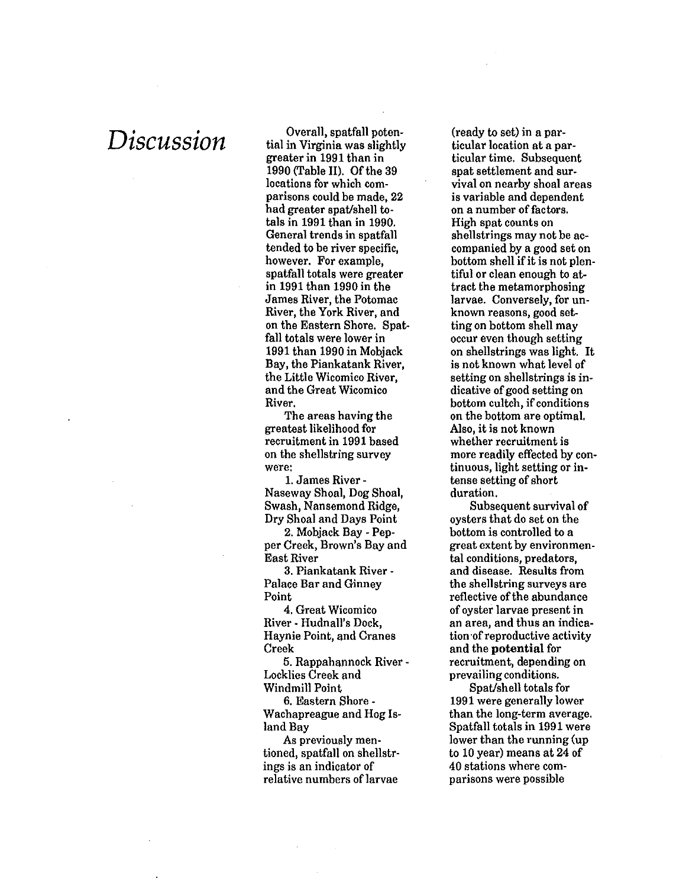$Discussion$   $\frac{1}{2}$   $\frac{1}{2}$   $\frac{1}{2}$   $\frac{1}{2}$   $\frac{1}{2}$   $\frac{1}{2}$   $\frac{1}{2}$   $\frac{1}{2}$   $\frac{1}{2}$   $\frac{1}{2}$   $\frac{1}{2}$   $\frac{1}{2}$   $\frac{1}{2}$   $\frac{1}{2}$   $\frac{1}{2}$   $\frac{1}{2}$   $\frac{1}{2}$   $\frac{1}{2}$   $\frac{1}{2}$   $\frac{1}{2}$   $\frac{1}{2}$   $\frac{1$ tial in Virginia was slightly greater in 1991 than in 1990 (Table II). Of the 39 locations for which comparisons could be made, 22 had greater spat/shell totals in 1991 than in 1990. General trends in spatfall tended to be river specific, however. For example, spatfall totals were greater in 1991 than 1990 in the James River, the Potomac River, the York River, and on the Eastern Shore. Spatfall totals were lower in 1991 than 1990 in Mobjack Bay, the Piankatank River, the Little Wicomico River, and the Great Wicomico River.

> The areas having the greatest likelihood for recruitment in 1991 based on the shellstring survey were:

1. James River - Naseway Shoal, Dog Shoal, Swash, Nansemond Ridge, Dry Shoal and Days Point

2. Mobjack Bay - Pepper Creek, Brown's Bay and East River

3. Piankatank River - Palace Bar and Ginney Point

4. Great Wicomico River - Hudnall's Dock, Haynie Point, and Cranes Creek

5. Rappahannock River - Locklies Creek and

Windmill Point

6. Eastern Shore - Wachapreague and Hog Island Bay

As previously mentioned, spatfall on shellstrings is an indicator of relative numbers of larvae

(ready to set) in a particular location at a particular time. Subsequent spat settlement and survival on nearby shoal areas is variable and dependent on a number of factors. High spat counts on shellstrings may not be accompanied by a good set on bottom shell if it is not plentiful or clean enough to attract the metamorphosing larvae. Conversely, for unknown reasons, good setting on bottom shell may occur even though setting on shellstrings was light. It is not known what level of setting on shellstrings is indicative of good setting on bottom cultch, if conditions on the bottom are optimal. Also, it is not known whether recruitment is more readily effected by continuous, light setting or intense setting of short duration.

Subsequent survival of oysters that do set on the bottom is controlled to a great extent by environmental conditions, predators, and disease. Results from the shellstring surveys are reflective of the abundance of oyster larvae present in an area, and thus an indication of reproductive activity and the **potential** for recruitment, depending on prevailing conditions.

Spat/shell totals for 1991 were generally lower than the long-term average. Spatfall totals in 1991 were lower than the running (up to 10 year) means at 24 of 40 stations where comparisons were possible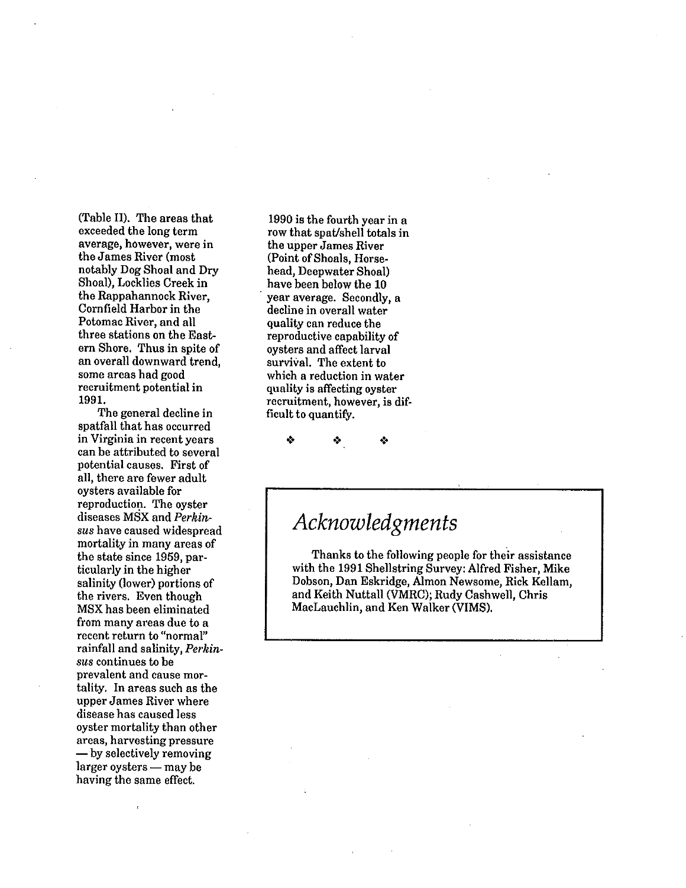(Table II). The areas that exceeded the long term average, however, were in the James River (most notably Dog Shoal and Dry Shoal), Locklies Creek in the Rappahannock River, Cornfield Harbor in the Potomac River, and all three stations on the Eastern Shore. Thus in spite of an overall downward trend, some areas had good recruitment potential in 1991.

The general decline in spatfall that has occurred in Virginia in recent years can be attributed to several potential causes. First of all, there are fewer adult oysters available for reproduction. The oyster diseases MSX and *Perkinsus* have caused widespread mortality in many areas of the state since 1959, particularly in the higher salinity (lower) portions of the rivers. Even though MSX has been eliminated from many areas due to a recent return to "normal" rainfall and salinity, *Perkinsus* continues to be prevalent and cause mortality. In areas such as the upper James River where disease has caused less oyster mortality than other areas, harvesting pressure - by selectively removing  $larger$  oysters  $-$  may be having the same effect.

1990 is the fourth year in a row that spat/shell totals in the upper James River (Point of Shoals, Horsehead, Deepwater Shoal) have been below the 10 year average. Secondly, a decline in overall water quality can reduce the reproductive capability of oysters and affect larval survival. The extent to which a reduction in water quality is affecting oyster recruitment, however, is difficult to quantify.

÷

*Acknowledgments* 

Thanks to the following people for their assistance with the 1991 Shellstring Survey: Alfred Fisher, Mike Dobson, Dan Eskridge, Almon Newsome, Rick Kellam, and Keith Nuttall (VMRC); Rudy Cashwell, Chris MacLauchlin, and Ken Walker (VIMS).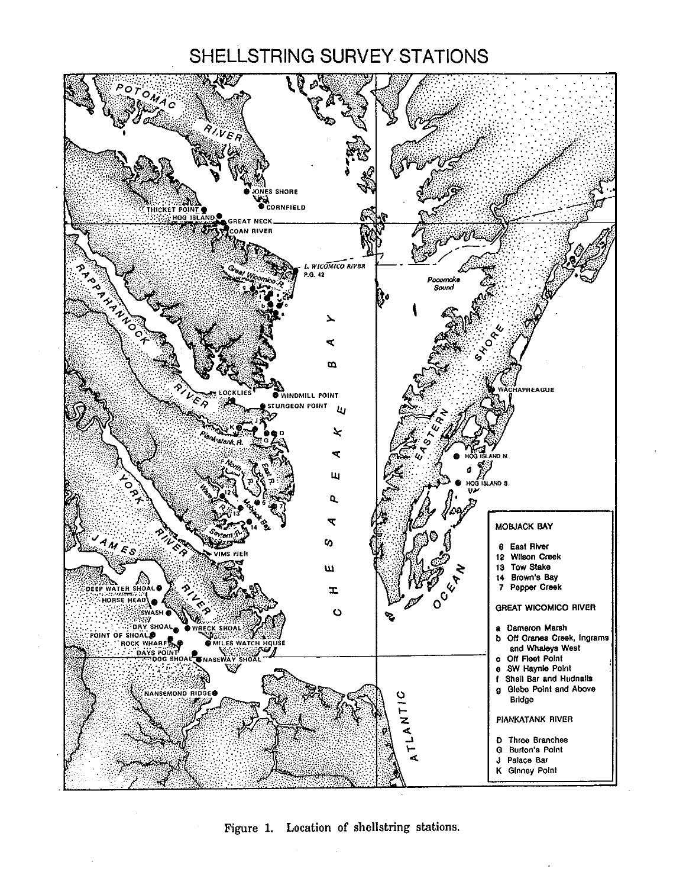# SHELLSTRING SURVEY STATIONS



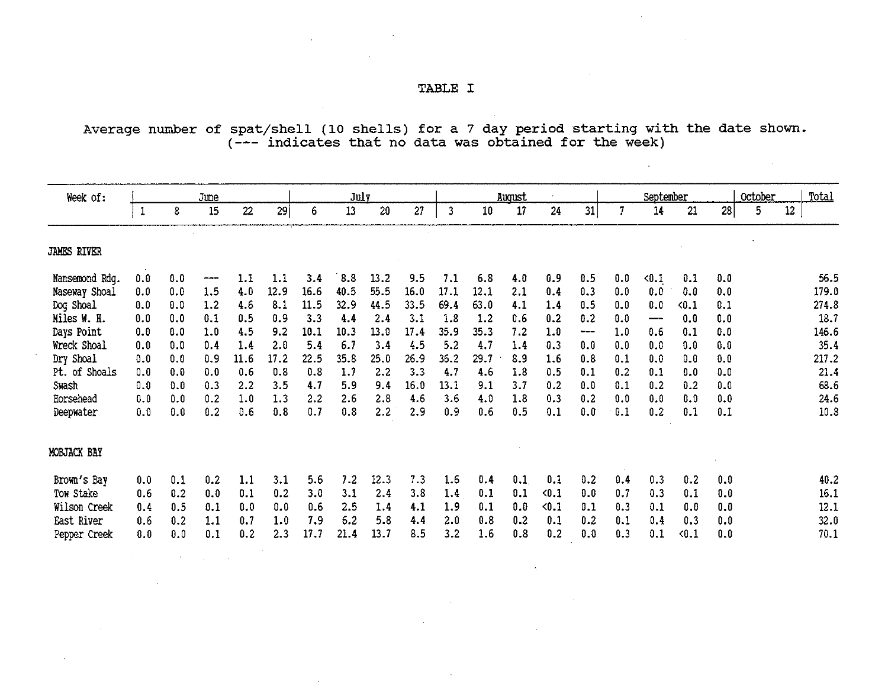$\mathcal{L}^{\text{max}}$  and  $\mathcal{L}^{\text{max}}$ 

**Contractor** 

 $\mathcal{L}^{\mathcal{L}}(\mathcal{L}^{\mathcal{L}})$  and  $\mathcal{L}^{\mathcal{L}}(\mathcal{L}^{\mathcal{L}})$  and  $\mathcal{L}^{\mathcal{L}}(\mathcal{L}^{\mathcal{L}})$  and  $\mathcal{L}^{\mathcal{L}}(\mathcal{L}^{\mathcal{L}})$ 

 $\mathcal{L}^{\mathcal{L}}(\mathcal{L}^{\mathcal{L}})$  and  $\mathcal{L}^{\mathcal{L}}(\mathcal{L}^{\mathcal{L}})$  . The contribution of  $\mathcal{L}^{\mathcal{L}}$ 

Average number of spat/shell (10 shells) for a 7 day period starting with the date shown. (--- indicates that no data was obtained for the week)

| Week of:           |              |     | <b>June</b> |      |      |      | July |      |      |              |      | August |       |     |     | September     |       |     | October |    | Total |
|--------------------|--------------|-----|-------------|------|------|------|------|------|------|--------------|------|--------|-------|-----|-----|---------------|-------|-----|---------|----|-------|
|                    | $\mathbf{1}$ | 8   | 15          | 22   | 29   | 6    | 13   | 20   | 27   | $\mathbf{3}$ | 10   | 17     | 24    | 31  | 7   | 14            | 21    | 28  | 5       | 12 |       |
| <b>JAMES RIVER</b> |              |     |             |      |      |      |      |      |      |              |      |        |       |     |     |               |       |     |         |    |       |
| Nansemond Rdg.     | 0.0          | 0.0 | ---         | 1.1  | 1.1  | 3.4  | 8.8  | 13.2 | 9.5  | 7.1          | 6.8  | 4.0    | 0.9   | 0.5 | 0.0 | $\langle 0.1$ | 0.1   | 0.0 |         |    | 56.5  |
| Naseway Shoal      | 0.0          | 0.0 | 1.5         | 4.0  | 12.9 | 16.6 | 40.5 | 55.5 | 16.0 | 17.1         | 12.1 | 2.1    | 0.4   | 0.3 | 0.0 | 0.0           | 0.0   | 0.0 |         |    | 179.0 |
| Dog Shoal          | 0.0          | 0.0 | 1.2         | 4.6  | 8.1  | 11.5 | 32.9 | 44.5 | 33.5 | 69.4         | 63.0 | 4.1    | 1.4   | 0.5 | 0.0 | 0.0           | 0.1   | 0.1 |         |    | 274.8 |
| Miles W. H.        | 0.0          | 0.0 | 0.1         | 0.5  | 0.9  | 3.3  | 4.4  | 2.4  | 3.1  | 1.8          | 1.2  | 0.6    | 0.2   | 0.2 | 0.0 | ---           | 0.0   | 0.0 |         |    | 18.7  |
| Days Point         | 0.0          | 0.0 | 1.0         | 4.5  | 9.2  | 10.1 | 10.3 | 13.0 | 17.4 | 35.9         | 35.3 | 7.2    | 1.0   | --- | 1.0 | 0.6           | 0.1   | 0.0 |         |    | 146.6 |
| Wreck Shoal        | 0.0          | 0.0 | 0.4         | 1.4  | 2.0  | 5.4  | 6.7  | 3.4  | 4.5  | 5.2          | 4.7  | 1.4    | 0.3   | 0.0 | 0.0 | 0.0           | 0.0   | 0.0 |         |    | 35.4  |
| Dry Shoal          | 0.0          | 0.0 | 0.9         | 11.6 | 17.2 | 22.5 | 35.8 | 25.0 | 26.9 | 36.2         | 29.7 | 8.9    | 1.6   | 0.8 | 0.1 | 0.0           | 0.0   | 0.0 |         |    | 217.2 |
| Pt. of Shoals      | 0.0          | 0.0 | 0.0         | 0.6  | 0.8  | 0.8  | 1.7  | 2.2  | 3.3  | 4.7          | 4.6  | 1.8    | 0.5   | 0.1 | 0.2 | 0.1           | 0.0   | 0.0 |         |    | 21.4  |
| Swash              | 0.0          | 0.0 | 0.3         | 2.2  | 3.5  | 4.7  | 5.9  | 9.4  | 16.0 | 13.1         | 9.1  | 3.7    | 0.2   | 0.0 | 0.1 | 0.2           | 0.2   | 0.0 |         |    | 68.6  |
| Horsehead          | 0.0          | 0.0 | 0.2         | 1.0  | 1.3  | 2.2  | 2.6  | 2.8  | 4.6  | 3.6          | 4.0  | 1.8    | 0.3   | 0.2 | 0.0 | 0.0           | 0.0   | 0.0 |         |    | 24.6  |
| Deepwater          | 0.0          | 0.0 | 0.2         | 0.6  | 0.8  | 0.7  | 0.8  | 2.2  | 2.9  | 0.9          | 0.6  | 0.5    | 0.1   | 0.0 | 0.1 | 0.2           | 0.1   | 0.1 |         |    | 10.8  |
| MOBJACK BAY        |              |     |             |      |      |      |      |      |      |              |      |        |       |     |     |               |       |     |         |    |       |
| Brown's Bay        | 0.0          | 0.1 | 0.2         | 1.1  | 3.1  | 5.6  | 7.2  | 12.3 | 7.3  | 1.6          | 0.4  | 0.1    | 0.1   | 0.2 | 0.4 | 0.3           | 0.2   | 0.0 |         |    | 40.2  |
| Tow Stake          | 0.6          | 0.2 | 0.0         | 0.1  | 0.2  | 3.0  | 3.1  | 2.4  | 3.8  | 1.4          | 0.1  | 0.1    | $0.1$ | 0.0 | 0.7 | 0.3           | 0.1   | 0.0 |         |    | 16.1  |
| Wilson Creek       | 0.4          | 0.5 | 0.1         | 0.0  | 0.0  | 0.6  | 2.5  | 1.4  | 4.1  | 1.9          | 0.1  | 0.0    | $0.1$ | 0.1 | 0.3 | 0.1           | 0.0   | 0.0 |         |    | 12.1  |
| East River         | 0.6          | 0.2 | 1.1         | 0.7  | 1.0  | 7.9  | 6.2  | 5.8  | 4.4  | 2.0          | 0.8  | 0.2    | 0.1   | 0.2 | 0.1 | 0.4           | 0.3   | 0.0 |         |    | 32.0  |
| Pepper Creek       | 0.0          | 0.0 | 0.1         | 0.2  | 2.3  | 17.7 | 21.4 | 13.7 | 8.5  | 3.2          | 1.6  | 0.8    | 0.2   | 0.0 | 0.3 | 0.1           | < 0.1 | 0.0 |         |    | 70.1  |
|                    |              |     |             |      |      |      |      |      |      |              |      |        |       |     |     |               |       |     |         |    |       |

 $\sim$ 

 $\sim$ 

 $\mathcal{L}^{\mathcal{L}}(\mathcal{A})$  and  $\mathcal{L}^{\mathcal{L}}(\mathcal{A})$  and  $\mathcal{L}^{\mathcal{L}}(\mathcal{A})$ 

 $\mathcal{L}$ 

the contract of the contract of the

 $\mathcal{L}(\mathcal{L}(\mathcal{L}))$  . The contract of the contract of the contract of the contract of the contract of the contract of the contract of the contract of the contract of the contract of the contract of the contract of the co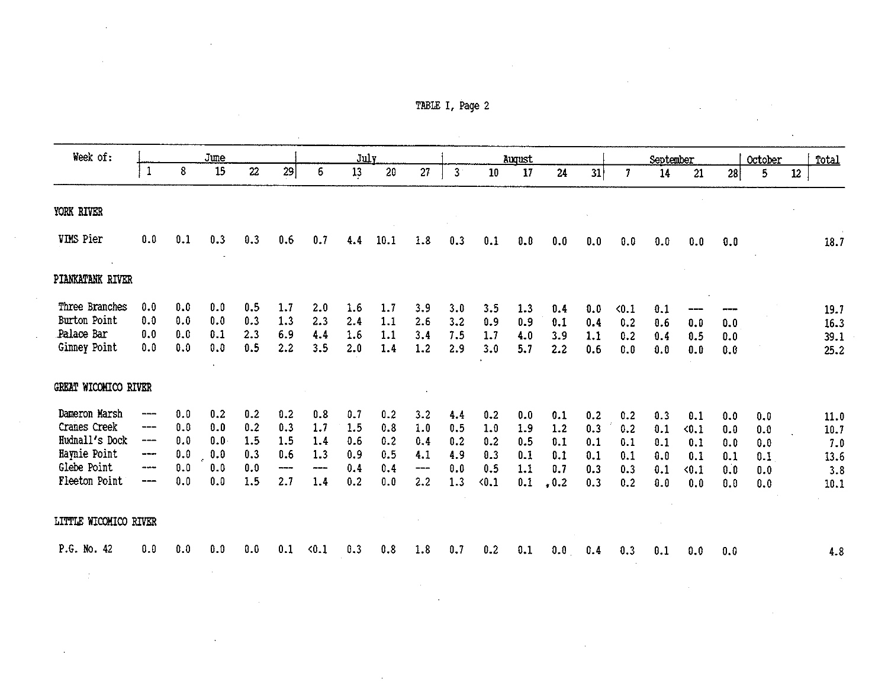| TABLE I, |  | Page 2 |  |
|----------|--|--------|--|
|----------|--|--------|--|

|                                                                                       |                                           |             |                  |            |                               |             |            |                |                                          | TABLE I, Page 2           |              |              |              |            |               |                 |              |            |                |                 |             |
|---------------------------------------------------------------------------------------|-------------------------------------------|-------------|------------------|------------|-------------------------------|-------------|------------|----------------|------------------------------------------|---------------------------|--------------|--------------|--------------|------------|---------------|-----------------|--------------|------------|----------------|-----------------|-------------|
| Week of:                                                                              |                                           |             |                  |            |                               |             |            |                |                                          |                           |              |              |              |            |               |                 |              |            |                |                 |             |
|                                                                                       | $\mathbf{1}$                              | 8           | June<br>15       | 22         | 29                            | 6           | July<br>13 | 20             | 27                                       | 3 <sup>1</sup>            | 10           | August<br>17 | 24           | 31         | $\mathbf{7}$  | September<br>14 | 21           | 28         | October<br>5   | 12 <sub>2</sub> | Total       |
| YORK RIVER                                                                            |                                           |             |                  |            |                               |             |            |                |                                          |                           |              |              |              |            |               |                 |              |            |                |                 |             |
| VIMS Pier                                                                             | 0.0                                       | 0.1         | 0.3              | 0.3        | 0.6                           | 0.7         | 4.4        | 10.1           | 1.8                                      | 0.3                       | 0.1          | 0.0          | 0.0          | 0.0        | 0.0           | 0.0             | 0.0          | 0.0        |                |                 | 18.7        |
| PIANKATANK RIVER                                                                      |                                           |             | $\sim 100$       |            |                               |             |            |                |                                          |                           |              |              |              |            |               |                 |              |            |                |                 |             |
| Three Branches                                                                        | 0.0                                       | 0.0         | 0.0              | 0.5        | 1.7                           | 2.0         | 1.6        | 1.7            | 3.9                                      | 3.0                       | 3.5          | 1.3          | 0.4          | 0.0        | $\langle 0.1$ | 0.1             |              |            |                |                 | 19.7        |
| Burton Point                                                                          | 0.0                                       | 0.0         | 0.0              | 0.3        | 1.3                           | 2.3         | 2.4        | 1.1            | 2.6                                      | 3.2                       | 0.9          | 0.9          | 0.1          | 0.4        | 0.2           | 0.6             | $0.0$        | 0.0        |                |                 | 16.3        |
| Palace Bar                                                                            | 0.0                                       | $0.0$       | 0.1              | 2.3        | 6.9                           | 4.4         | 1.6        | 1.1            | 3.4                                      | 7.5                       | 1.7          | 4.0          | 3.9          | 1.1        | 0.2           | 0.4             | 0.5          | $0.0$      |                |                 | 39.1        |
| Ginney Point                                                                          | 0.0                                       | $\pmb{0.0}$ | 0.0<br>$\bullet$ | 0.5        | 2.2                           | 3.5         | 2.0        | 1.4            | 1.2                                      | 2.9                       | 3.0          | 5.7          | 2.2          | 0.6        | 0.0           | 0.0             | $0.0\,$      | 0.0        |                |                 | 25.2        |
| GREAT WICOMICO RIVER                                                                  |                                           |             |                  |            |                               |             |            |                |                                          |                           |              |              |              |            |               |                 |              |            |                |                 |             |
| Dameron Marsh                                                                         | $\qquad \qquad \cdots$                    | 0.0         | 0.2              | 0.2        | 0.2                           | 0.8         | 0.7        | 0.2            | 3.2                                      | 4.4                       | 0.2          | 0.0          | 0.1          | 0.2        | 0.2           | 0.3             | 0.1          | 0.0        | 0.0            |                 | 11.0        |
| Cranes Creek                                                                          | $\qquad \qquad \textbf{---} \textbf{---}$ | $0.0\,$     | 0.0              | 0.2        | 0.3                           | 1.7         | 1.5        | 0.8            | 1.0                                      | 0.5                       | 1.0          | 1.9          | 1.2          | 0.3        | 0.2           | $0.1\,$         | < 0.1        | $0.0\,$    | 0.0            |                 | 10.7        |
| Hudnall's Dock                                                                        | $\hspace{0.05cm}---\hspace{0.05cm}$       | 0.0         | 0.0              | 1.5        | 1.5                           | 1.4         | 0.6        | 0.2            | 0.4                                      | 0.2                       | 0.2          | 0.5          | 0.1          | 0.1        | 0.1           | 0.1             | 0.1          | 0.0        | $0.0$          |                 | 7.0         |
| Haynie Point<br>Glebe Point                                                           | www.co                                    | 0.0         | 0.0<br>0.0       | 0.3        | 0.6                           | 1.3         | 0.9        | 0.5            | 4.1                                      | 4.9                       | 0.3          | 0.1          | 0.1          | 0.1        | 0.1           | 0.0             | 0.1          | 0.1        | $0.1\,$        |                 | 13.6        |
| Fleeton Point                                                                         | $\cdots \cdots$<br>---                    | 0.0<br>0.0  | 0.0              | 0.0<br>1.5 | $\qquad \qquad \cdots$<br>2.7 | ----<br>1.4 | 0.4<br>0.2 | 0.4<br>$0.0\,$ | $\hspace{0.05cm} \dashrightarrow$<br>2.2 | $\boldsymbol{0.0}$<br>1.3 | 0.5<br>< 0.1 | 1.1<br>0.1   | 0.7<br>, 0.2 | 0.3<br>0.3 | 0.3<br>0.2    | 0.1<br>0.0      | $0.1$<br>0.0 | 0.0<br>0.0 | $0.0\,$<br>0.0 |                 | 3.8<br>10.1 |
|                                                                                       |                                           |             |                  |            |                               |             |            |                |                                          |                           |              |              |              |            |               |                 |              |            |                |                 |             |
| LITTLE WICOMICO RIVER                                                                 |                                           |             |                  |            |                               |             |            |                |                                          |                           |              |              |              |            |               |                 |              |            |                |                 |             |
| P.G. No. 42 0.0 0.0 0.0 0.0 0.1 < 0.1 0.3 0.8 1.8 0.7 0.2 0.1 0.0 0.4 0.3 0.1 0.0 0.0 |                                           |             |                  |            |                               |             |            |                |                                          |                           |              |              |              |            |               |                 |              |            |                |                 | 4.8         |

a de la construcción de la construcción de la construcción de la construcción de la construcción de la constru<br>En 1930, el construcción de la construcción de la construcción de la construcción de la construcción de la con

 $\mathcal{L}(\mathcal{L}(\mathcal{L}(\mathcal{L}(\mathcal{L}(\mathcal{L}(\mathcal{L}(\mathcal{L}(\mathcal{L}(\mathcal{L}(\mathcal{L}(\mathcal{L}(\mathcal{L}(\mathcal{L}(\mathcal{L}(\mathcal{L}(\mathcal{L}(\mathcal{L}(\mathcal{L}(\mathcal{L}(\mathcal{L}(\mathcal{L}(\mathcal{L}(\mathcal{L}(\mathcal{L}(\mathcal{L}(\mathcal{L}(\mathcal{L}(\mathcal{L}(\mathcal{L}(\mathcal{L}(\mathcal{L}(\mathcal{L}(\mathcal{L}(\mathcal{L}(\mathcal{L}(\mathcal{$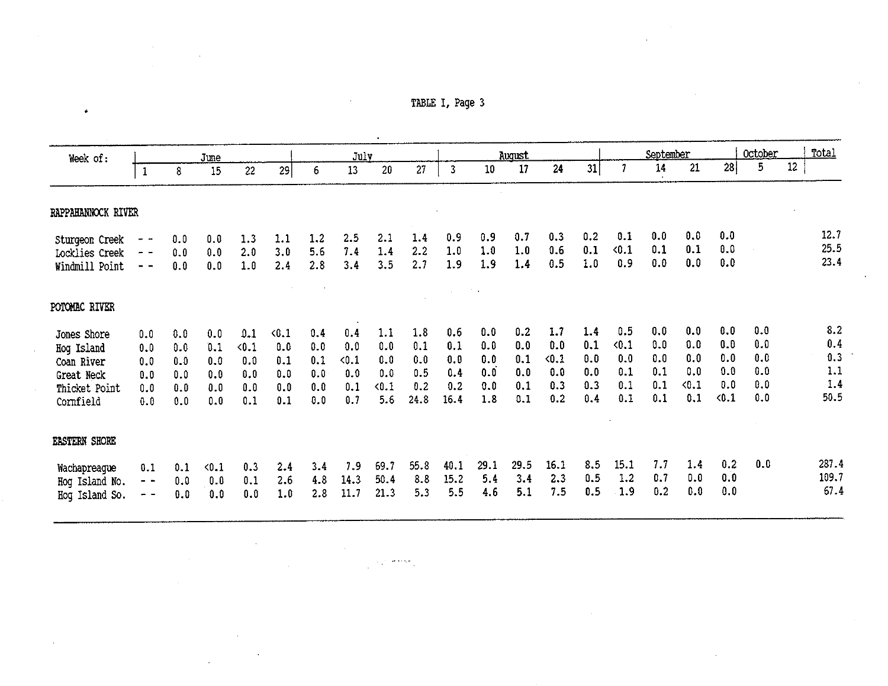TABLE I, Page 3

| Week of:                                |                |            | June          |            |            |            | July       |            |            |              |            | August     |            |            |               | September  |            |            | October |        | Total        |
|-----------------------------------------|----------------|------------|---------------|------------|------------|------------|------------|------------|------------|--------------|------------|------------|------------|------------|---------------|------------|------------|------------|---------|--------|--------------|
|                                         | $\mathbf{1}$   | 8          | 15            | 22         | 29         | 6          | $13\,$     | 20         | 27         | $\mathbf{3}$ | 10         | 17         | 24         | 31         | $\mathcal{I}$ | 14         | 21         | 28         | 5       | $12\,$ |              |
| RAPPAHANNOCK RIVER                      |                |            |               |            |            |            |            |            |            |              |            |            |            |            |               |            |            |            |         |        |              |
| Sturgeon Creek<br><b>Locklies Creek</b> | $- -$<br>$- -$ | 0.0<br>0.0 | 0.0<br>0.0    | 1.3<br>2.0 | 1.1<br>3.0 | 1.2<br>5.6 | 2.5<br>7.4 | 2.1<br>1.4 | 1.4<br>2.2 | 0.9<br>1.0   | 0.9<br>1.0 | 0.7<br>1.0 | 0.3<br>0.6 | 0.2<br>0.1 | 0.1<br>< 0.1  | 0.0<br>0.1 | 0.0<br>0.1 | 0.0<br>0.0 |         |        | 12.7<br>25.5 |
| Windmill Point                          | $-$            | 0.0        | 0.0           | 1.0        | 2.4        | 2.8        | 3.4        | 3.5        | 2.7        | 1.9          | 1.9        | 1.4        | 0.5        | 1.0        | 0.9           | 0.0        | 0.0        | 0.0        |         |        | 23.4         |
| POTOMAC RIVER                           |                |            |               |            |            |            |            |            |            |              |            |            |            |            |               |            |            |            |         |        |              |
| Jones Shore                             | 0.0            | 0.0        | 0.0           | 0.1        | $0.1$      | 0.4        | 0.4        | 1.1        | 1.8        | 0.6          | 0.0        | 0.2        | 1.7        | 1.4        | 0.5           | 0.0        | 0.0        | 0.0        | 0.0     |        | 8.2          |
| Hog Island                              | 0.0            | 0.0        | 0.1           | $0.1$      | 0.0        | 0.0        | 0.0        | 0.0        | 0.1        | 0.1          | 0.0        | 0.0        | 0.0        | 0.1        | 0.1           | 0.0        | 0.0        | 0.0        | 0.0     |        | 0.4          |
| Coan River                              | 0.0            | 0.0        | 0.0           | 0.0        | 0.1        | 0.1        | < 0.1      | 0.0        | 0.0        | 0.9          | 0.0        | 0.1        | $0.1$      | 0.0        | 0.0           | 0.0        | 0.0        | 0.0        | 0.0     |        | 0.3          |
| Great Neck                              | 0.0            | 0.0        | 0.0           | 0.0        | 0.0        | 0.0        | 0.0        | 0.0        | 0.5        | 0.4          | 0.0        | 0.0        | 0.0        | 0.0        | 0.1           | 0.1        | 0.0        | 0.0        | 0.0     |        | 1.1          |
| Thicket Point                           | 0.0            | 0.0        | 0.0           | 0.0        | 0.0        | 0.0        | 0.1        | < 0.1      | 0.2        | 0.2          | 0.0        | 0.1        | 0.3        | 0.3        | 0.1           | 0.1        | < 0.1      | 0.0        | 0.0     |        | 1.4          |
| Cornfield                               | 0.0            | 0.0        | 0.0           | 0.1        | 0.1        | 0.0        | 0.7        | 5.6        | 24.8       | 16.4         | 1.8        | 0.1        | 0.2        | 0.4        | 0.1           | 0.1        | 0.1        | $0.1$      | 0.0     |        | 50.5         |
| <b>EASTERN SHORE</b>                    |                |            |               |            |            |            |            |            |            |              |            |            |            |            |               |            |            |            |         |        |              |
| Wachapreague                            | 0.1            | 0.1        | $\langle 0.1$ | 0.3        | 2.4        | 3.4        | 7.9        | 69.7       | 55.8       | 40.1         | 29.1       | 29.5       | 16.1       | 8.5        | 15.1          | 7.7        | 1.4        | 0.2        | 0.0     |        | 287.4        |
| Hog Island No.                          | - -            | 0.0        | 0.0           | 0.1        | 2.6        | 4.8        | 14.3       | 50.4       | 8.8        | 15.2         | 5.4        | 3.4        | 2.3        | 0.5        | 1.2           | 0.7        | 0.0        | 0.0        |         |        | 109.7        |
| Hog Island So.                          |                | 0.0        | 0.0           | 0.0        | 1.0        | 2.8        | 11.7       | 21.3       | 5.3        | 5.5          | 4.6        | 5.1        | 7.5        | 0.5        | 1.9           | 0.2        | 0.0        | 0.0        |         |        | 67.4         |

 $\mathcal{L}_{\text{max}}$  and  $\mathcal{L}_{\text{max}}$ 

 $\hat{\mathcal{A}}$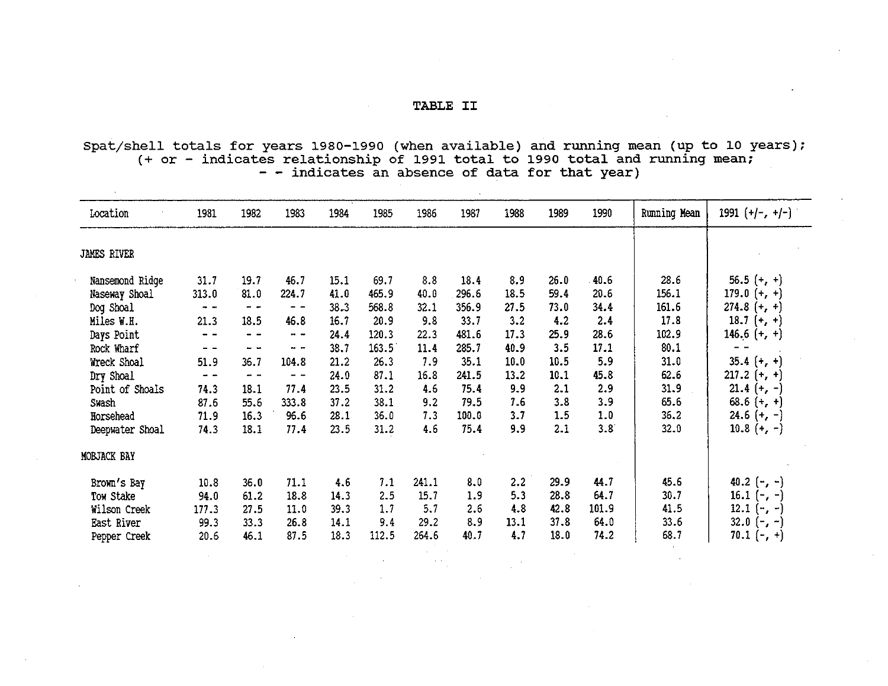#### TABLE II

Spat/shell totals for years 1980-1990 (when available) and running mean (up to 10 years);  $(+$  or - indicates relationship of 1991 total to 1990 total and running mean; - - indicates an absence of data for that year)

| Location           | 1981          | 1982 | 1983           | 1984 | 1985  | 1986  | 1987  | 1988 | 1989 | 1990  | Running Mean | $1991 (+/-, +/-)$ |
|--------------------|---------------|------|----------------|------|-------|-------|-------|------|------|-------|--------------|-------------------|
| <b>JAMES RIVER</b> |               |      |                |      |       |       |       |      |      |       |              |                   |
| Nansemond Ridge    | 31.7          | 19.7 | 46.7           | 15.1 | 69.7  | 8.8   | 18.4  | 8.9  | 26.0 | 40.6  | 28.6         | $56.5 (+, +)$     |
| Naseway Shoal      | 313.0         | 81.0 | 224.7          | 41.0 | 465.9 | 40.0  | 296.6 | 18.5 | 59.4 | 20.6  | 156.1        | 179.0 $(+, +)$    |
| Dog Shoal          | . .           | - -  | - -            | 38.3 | 568.8 | 32.1  | 356.9 | 27.5 | 73.0 | 34.4  | 161.6        | $274.8 (+ + )$    |
| Miles W.H.         | 21.3          | 18.5 | 46.8           | 16.7 | 20.9  | 9.8   | 33.7  | 3.2  | 4.2  | 2.4   | 17.8         | 18.7 $(+, +)$     |
| Days Point         | $ -$          |      | $\blacksquare$ | 24.4 | 120.3 | 22.3  | 481.6 | 17.3 | 25.9 | 28.6  | 102.9        | 146.6 $(+, +)$    |
| Rock Wharf         | $ -$          | - -  | $\sim$ $\sim$  | 38.7 | 163.5 | 11.4  | 285.7 | 40.9 | 3.5  | 17.1  | 80.1         |                   |
| Wreck Shoal        | 51.9          | 36.7 | 104.8          | 21.2 | 26.3  | 7.9   | 35.1  | 10.0 | 10.5 | 5.9   | 31.0         | $35.4 (+, +)$     |
| Dry Shoal          | $\frac{1}{2}$ | $ -$ | $ -$           | 24.0 | 87.1  | 16.8  | 241.5 | 13.2 | 10.1 | 45.8  | 62.6         | $217.2 (+, +)$    |
| Point of Shoals    | 74.3          | 18.1 | 77.4           | 23.5 | 31.2  | 4.6   | 75.4  | 9.9  | 2.1  | 2.9   | 31.9         | $21.4 (+, -)$     |
| Swash              | 87.6          | 55.6 | 333.8          | 37.2 | 38.1  | 9.2   | 79.5  | 7.6  | 3.8  | 3.9   | 65.6         | 68.6 $(+, +)$     |
| Horsehead          | 71.9          | 16.3 | 96.6           | 28.1 | 36.0  | 7.3   | 100.0 | 3.7  | 1.5  | 1.0   | 36.2         | $24.6 (+, -)$     |
| Deepwater Shoal    | 74.3          | 18.1 | 77.4           | 23.5 | 31.2  | 4.6   | 75.4  | 9.9  | 2.1  | 3.8   | 32.0         | 10.8 $(+, -)$     |
| MOBJACK BAY        |               |      |                |      |       |       |       |      |      |       |              |                   |
| Brown's Bay        | 10.8          | 36.0 | 71.1           | 4.6  | 7.1   | 241.1 | 8.0   | 2.2  | 29.9 | 44.7  | 45.6         | 40.2 $(-, -)$     |
| Tow Stake          | 94.0          | 61.2 | 18.8           | 14.3 | 2.5   | 15.7  | 1.9   | 5.3  | 28.8 | 64.7  | 30.7         | 16.1 $(-, -)$     |
| Wilson Creek       | 177.3         | 27.5 | 11.0           | 39.3 | 1.7   | 5.7   | 2.6   | 4.8  | 42.8 | 101.9 | 41.5         | 12.1 $(-, -)$     |
| East River         | 99.3          | 33.3 | 26.8           | 14.1 | 9.4   | 29.2  | 8.9   | 13.1 | 37.8 | 64.0  | 33.6         | 32.0 $(-, -)$     |
| Pepper Creek       | 20.6          | 46.1 | 87.5           | 18.3 | 112.5 | 264.6 | 40.7  | 4.7  | 18.0 | 74.2  | 68.7         | 70.1 $(-, +)$     |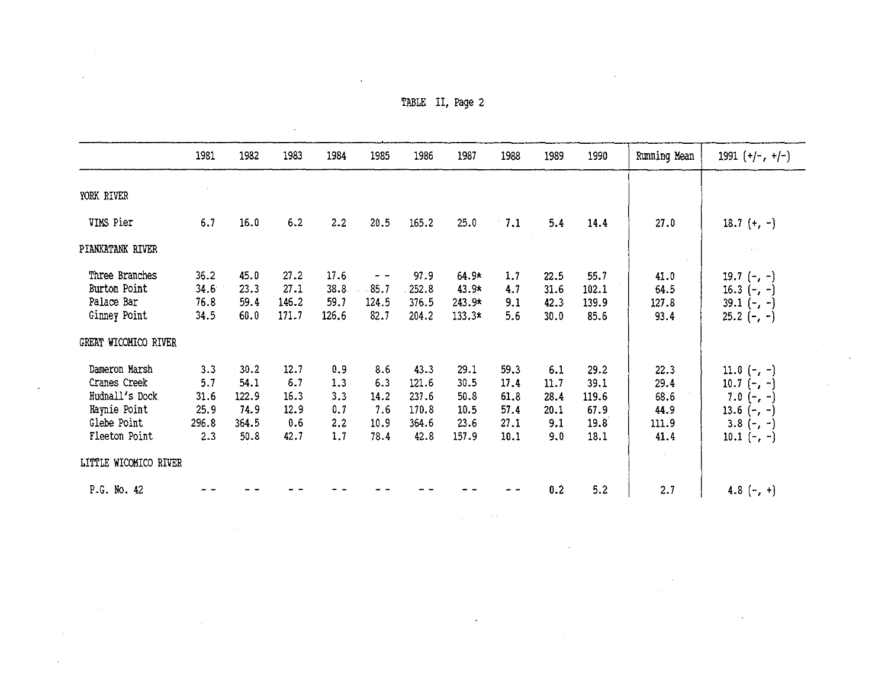| $\mathbf{r}$ |                  |  |  |
|--------------|------------------|--|--|
|              | TABLE II, Page 2 |  |  |

 $\mathcal{L}(\mathcal{L}^{\mathcal{L}})$  and  $\mathcal{L}(\mathcal{L}^{\mathcal{L}})$  and  $\mathcal{L}(\mathcal{L}^{\mathcal{L}})$ 

 $\label{eq:2.1} \mathcal{L}_{\text{max}} = \mathcal{L}_{\text{max}} = \mathcal{L}_{\text{max}}$ 

|                            | 1981         | 1982         | 1983           | 1984          | 1985          | 1986           | 1987                 | 1988       | 1989 | 1990  | Running Mean        | $1991 (+/-, +/-)$ |
|----------------------------|--------------|--------------|----------------|---------------|---------------|----------------|----------------------|------------|------|-------|---------------------|-------------------|
| YORK RIVER                 |              |              |                |               |               |                |                      |            |      |       |                     |                   |
| VIMS Pier                  | 6.7          | 16.0         | 6.2            | 2.2           | 20.5          | 165.2          | 25.0                 | $-7.1$     | 5.4  | 14.4  | 27.0                | 18.7 $(+, -)$     |
| PIANKATANK RIVER           |              |              |                |               |               |                |                      |            |      |       |                     |                   |
| Three Branches             | 36.2         | 45.0         | 27.2           | 17.6          |               | 97.9           | $64.9*$              | 1.7        | 22.5 | 55.7  | 41.0                | 19.7 $(-, -)$     |
| Burton Point               | 34.6         | 23.3         | 27.1           | 38.8          | 85.7          | 252.8          | 43.9*                | 4.7        | 31.6 | 102.1 | 64.5                | 16.3 $(-, -)$     |
| Palace Bar<br>Ginney Point | 76.8<br>34.5 | 59.4<br>60.0 | 146.2<br>171.7 | 59.7<br>126.6 | 124.5<br>82.7 | 376.5<br>204.2 | $243.9*$<br>$133.3*$ | 9.1<br>5.6 | 42.3 | 139.9 | 127.8               | $39.1 (-,-)$      |
|                            |              |              |                |               |               |                |                      |            | 30.0 | 85.6  | 93.4                | $25.2$ (-, -)     |
| GREAT WICOMICO RIVER       |              |              |                |               |               |                |                      |            |      |       |                     |                   |
| Dameron Marsh              | 3.3          | 30.2         | 12.7           | 0.9           | 8.6           | 43.3           | 29.1                 | 59.3       | 6.1  | 29.2  | 22.3                | 11.0 $(-, -)$     |
| Cranes Creek               | 5.7          | 54.1         | 6.7            | 1.3           | 6.3           | 121.6          | 30.5                 | 17.4       | 11.7 | 39.1  | 29.4                | 10.7 $(-, -)$     |
| Hudnall's Dock             | 31.6         | 122.9        | 16.3           | 3.3           | 14.2          | 237.6          | 50.8                 | 61.8       | 28.4 | 119.6 | 68.6                | 7.0 $(-, -)$      |
| Haynie Point               | 25.9         | 74.9         | 12.9           | 0.7           | 7.6           | 170.8          | 10.5                 | 57.4       | 20.1 | 67.9  | 44.9                | 13.6 $(-, -)$     |
| Glebe Point                | 296.8        | 364.5        | 0.6            | 2.2           | 10.9          | 364.6          | 23.6                 | 27.1       | 9.1  | 19.8  | 111.9               | $3.8(-,-)$        |
| Fleeton Point              | 2.3          | 50.8         | 42.7           | 1.7           | 78.4          | 42.8           | 157.9                | 10.1       | 9.0  | 18.1  | 41.4                | 10.1 $(-, -)$     |
| LITTLE WICOMICO RIVER      |              |              |                |               |               |                |                      |            |      |       | $\mathcal{I}^{\pm}$ |                   |
| P.G. No. 42                |              |              |                |               |               |                |                      |            | 0.2  | 5.2   | 2.7                 | 4.8 $(-, +)$      |

a de la construcción de la construcción de la construcción de la construcción de la construcción de la constru<br>En 1930, el construcción de la construcción de la construcción de la construcción de la construcción de la con

 $\mathcal{L}(\mathcal{L})$  and  $\mathcal{L}(\mathcal{L})$  are the set of the set of the set of the set of the set of the set of the set of the set of the set of the set of the set of the set of the set of the set of the set of the set of the set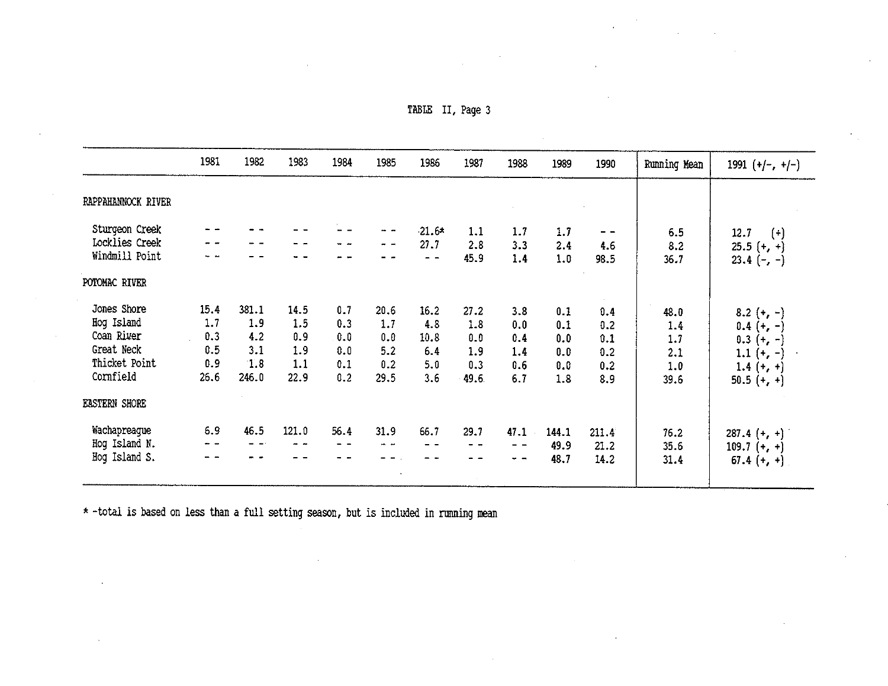| table |  | II, Page 3 |  |
|-------|--|------------|--|
|-------|--|------------|--|

 $\mathcal{L}_{\rm{max}}$ 

|                      | 1981                | 1982  | 1983  | 1984 | 1985 | 1986    | 1987 | 1988 | 1989  | 1990  | Running Mean | 1991 $(+/-, +/-)$ |
|----------------------|---------------------|-------|-------|------|------|---------|------|------|-------|-------|--------------|-------------------|
| RAPPAHANNOCK RIVER   |                     |       |       |      |      |         |      |      |       |       |              |                   |
| Sturgeon Creek       |                     |       |       |      | -- - | $21.6*$ | 1.1  | 1.7  | 1.7   | $ -$  | 6.5          | 12.7<br>$(\cdot)$ |
| Locklies Creek       |                     |       |       |      |      | 27.7    | 2.8  | 3.3  | 2.4   | 4.6   | 8.2          | $25.5 (+, +)$     |
| Windmill Point       |                     |       |       |      |      | $ -$    | 45.9 | 1.4  | 1.0   | 98.5  | 36.7         | $23.4 (-,-)$      |
| POTOMAC RIVER        |                     |       |       |      |      |         |      |      |       |       |              |                   |
| Jones Shore          | 15.4                | 381.1 | 14.5  | 0.7  | 20.6 | 16.2    | 27.2 | 3.8  | 0.1   | 0.4   | 48.0         | $8.2 (+, -)$      |
| Hog Island           | 1.7                 | 1.9   | 1.5   | 0.3  | 1.7  | 4.8     | 1.8  | 0.0  | 0.1   | 0.2   | 1.4          | $0.4 (+, -)$      |
| Coan River           | 0.3                 | 4.2   | 0.9   | 0.0  | 0.0  | 10.8    | 0.0  | 0.4  | 0.0   | 0.1   | 1.7          | $0.3 (+, -)$      |
| Great Neck           | 0.5                 | 3.1   | 1.9   | 0.0  | 5.2  | 6.4     | 1.9  | 1.4  | 0.0   | 0.2   | 2.1          | 1.1 $(+, -)$      |
| Thicket Point        | 0.9                 | 1.8   | 1.1   | 0.1  | 0.2  | 5.0     | 0.3  | 0.6  | 0.0   | 0.2   | 1.0          | $1.4 (+, +)$      |
| Cornfield            | 26.6                | 246.0 | 22.9  | 0.2  | 29.5 | 3.6     | 49.6 | 6.7  | 1.8   | 8.9   | 39.6         | $50.5 (+, +)$     |
| <b>EASTERN SHORE</b> |                     |       |       |      |      |         |      |      |       |       |              |                   |
| Wachapreague         | 6.9                 | 46.5  | 121.0 | 56.4 | 31.9 | 66.7    | 29.7 | 47.1 | 144.1 | 211.4 | 76.2         | $287.4 (+, +)$    |
| Hog Island N.        | $\cdots$ . $\cdots$ |       | m m   | - -  | . .  | - -     | - -  | $ -$ | 49.9  | 21.2  | 35.6         | $109.7 (+, +)$    |
| Hog Island S.        | - -                 |       |       |      |      |         | - -  | $-$  | 48.7  | 14.2  | 31.4         | $67.4 (+, +)$     |
|                      |                     |       |       |      |      |         |      |      |       |       |              |                   |

• -total is based on less than a full setting season, but is included in running mean

 $\alpha$